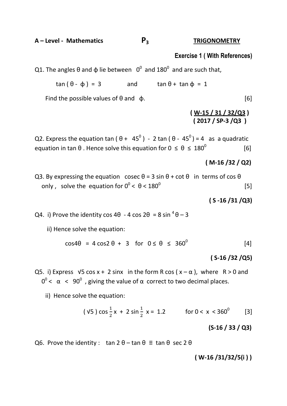**A – Level - Mathematics P3 TRIGONOMETRY**

# **Exercise 1 ( With References)**

Q1. The angles θ and φ lie between  $0^0$  and 180<sup>0</sup> and are such that,

 $tan (\theta - \phi) = 3$  and  $tan \theta + tan \phi = 1$ 

Find the possible values of  $\theta$  and  $\phi$ . [6]

# **( W-15 / 31 / 32/Q3 ) ( 2017 / SP-3 /Q3 )**

Q2. Express the equation tan ( $\theta$  +  $45^{\circ}$ ) - 2 tan ( $\theta$  -  $45^{\circ}$ ) = 4 as a quadratic equation in tan  $\theta$ . Hence solve this equation for  $0 \le \theta \le 180^\circ$ [6]

# **( M-16 /32 / Q2)**

Q3. By expressing the equation cosec  $\theta = 3 \sin \theta + \cot \theta$  in terms of cos  $\theta$ only, solve the equation for  $0^0$  <  $\theta$  <  $180^0$ [5]

### **( S -16 /31 /Q3)**

Q4. i) Prove the identity cos 4 $\theta$  - 4 cos 2 $\theta$  = 8 sin  $\theta$  – 3

ii) Hence solve the equation:

$$
\cos 4\theta = 4 \cos 2\theta + 3 \quad \text{for} \quad 0 \le \theta \le 360^{\circ}
$$
 [4]

# **( S-16 /32 /Q5)**

Q5. i) Express  $\sqrt{5} \cos x + 2 \sin x$  in the form R cos  $(x - \alpha)$ , where R > 0 and  $0^0$  < α < 90<sup>0</sup>, giving the value of α correct to two decimal places.

ii) Hence solve the equation:

$$
(\sqrt{5}) \cos \frac{1}{2} x + 2 \sin \frac{1}{2} x = 1.2
$$
 for  $0 < x < 360^{\circ}$  [3]

# **(S-16 / 33 / Q3)**

Q6. Prove the identity : tan  $2 \theta$  – tan  $\theta \equiv \tan \theta$  sec  $2 \theta$ 

### **( W-16 /31/32/5(i ) )**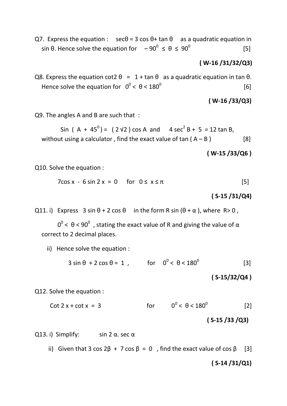Q7. Express the equation :  $\sec\theta = 3 \cos\theta + \tan\theta$  as a quadratic equation in sin θ. Hence solve the equation for  $-90^{\circ}$  ≤ θ ≤ 90<sup>0</sup> [5]

## **( W-16 /31/32/Q3)**

Q8. Express the equation cot2  $\theta = 1 + \tan \theta$  as a quadratic equation in tan  $\theta$ . Hence solve the equation for  $0^0 < \theta < 180^0$  $[6]$ 

**( W-16 /33/Q3)**

Q9. The angles A and B are such that :

Sin (A + 45<sup>0</sup>) = (2 √2) cos A and 4 sec<sup>2</sup> B + 5 = 12 tan B, without using a calculator, find the exact value of  $tan(A - B)$  [8]

 **( W-15 /33/Q6 )**

Q10. Solve the equation :

$$
7\cos x - 6\sin 2x = 0
$$
 for  $0 \le x \le \pi$  [5]

#### **( S-15 /31/Q4)**

Q11. i) Express  $3 \sin \theta + 2 \cos \theta$  in the form R sin ( $\theta + \alpha$ ), where R > 0,

 $0^0$  < θ < 90<sup>0</sup>, stating the exact value of R and giving the value of α correct to 2 decimal places.

ii) Hence solve the equation :

 $3 \sin \theta + 2 \cos \theta = 1$ , for  $0^\circ < \theta < 180^\circ$ [3]

**( S-15/32/Q4 )**

Q12. Solve the equation :

 $\cot 2 x + \cot x = 3$ for  $0^0 < \theta < 180^0$ [2]

#### **( S-15 /33 /Q3)**

Q13. i) Simplify: sin 2  $\alpha$ . sec  $\alpha$ 

ii) Given that 3 cos  $2\beta + 7 \cos \beta = 0$ , find the exact value of cos  $\beta$  [3]

#### **( S-14 /31/Q1)**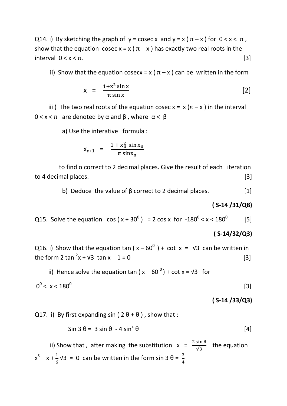Q14. i) By sketching the graph of  $y = \csc x$  and  $y = x (\pi - x)$  for  $0 < x < \pi$ , show that the equation cosec  $x = x (\pi - x)$  has exactly two real roots in the interval  $0 < x < \pi$ . [3]

ii) Show that the equation cosecx = x ( $\pi$  – x) can be written in the form

$$
x = \frac{1+x^2 \sin x}{\pi \sin x} \tag{2}
$$

iii) The two real roots of the equation cosec  $x = x (\pi - x)$  in the interval  $0 < x < \pi$  are denoted by  $\alpha$  and  $\beta$ , where  $\alpha < \beta$ 

a) Use the interative formula :

$$
X_{n+1} = \frac{1 + x_n^2 \sin x_n}{\pi \sin x_n}
$$

to find  $\alpha$  correct to 2 decimal places. Give the result of each iteration to 4 decimal places. [3]

b) Deduce the value of  $\beta$  correct to 2 decimal places. [1]

#### **( S-14 /31/Q8)**

Q15. Solve the equation  $\cos(x + 30^\circ) = 2 \cos x$  for  $-180^\circ < x < 180^\circ$ [5]

#### **( S-14/32/Q3)**

Q16. i) Show that the equation tan ( $x - 60^{\circ}$ ) + cot  $x = \sqrt{3}$  can be written in the form 2 tan  $x^2$ x +  $\sqrt{3}$  tan x - 1 = 0 [3]

ii) Hence solve the equation tan  $(x - 60^\circ) + \cot x = \sqrt{3}$  for

$$
0^0 < x < 180^0 \tag{3}
$$

#### **( S-14 /33/Q3)**

Q17. i) By first expanding sin ( $2\theta + \theta$ ), show that :

$$
\sin 3 \theta = 3 \sin \theta - 4 \sin^3 \theta \tag{4}
$$

ii) Show that, after making the substitution  $x = \frac{2}{3}$  $\frac{\sin \theta}{\sqrt{3}}$  the equation  $x^3 - x + \frac{1}{6}$  $\frac{1}{6}$  V3 = 0 can be written in the form sin 3  $\theta = \frac{3}{4}$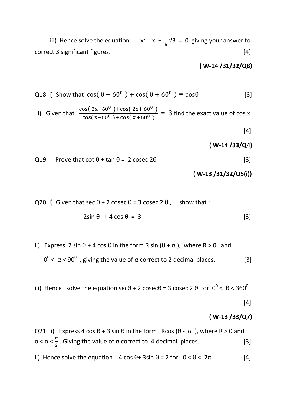iii) Hence solve the equation :  $x^3 - x + \frac{1}{6}$  $\frac{1}{6}$ V3 = 0 giving your answer to correct 3 significant figures. [4]

# **( W-14 /31/32/Q8)**

Q18. i) Show that 
$$
cos(\theta - 60^0) + cos(\theta + 60^0) \equiv cos\theta
$$
 [3]

ii) Given that 
$$
\frac{\cos(2x-60^\circ) + \cos(2x+60^\circ)}{\cos(x-60^\circ) + \cos(x+60^\circ)} = 3
$$
 find the exact value of cos x

 $[4]$ 

#### **( W-14 /33/Q4)**

Q19. Prove that  $\cot \theta + \tan \theta = 2 \csc 2\theta$  [3]

#### **( W-13 /31/32/Q5(i))**

Q20. i) Given that sec  $\theta$  + 2 cosec  $\theta$  = 3 cosec 2  $\theta$ , show that :

$$
2\sin\theta + 4\cos\theta = 3
$$
 [3]

ii) Express 2 sin  $θ + 4 cos θ$  in the form R sin  $(θ + α)$ , where R > 0 and  $0^0$  < α < 90<sup>0</sup>, giving the value of α correct to 2 decimal places. [3]

iii) Hence solve the equation sec $\theta$  + 2 cosec $\theta$  = 3 cosec 2  $\theta$  for  $0^0$  <  $\theta$  < 360<sup>0</sup>

## $[4]$

#### **( W-13 /33/Q7)**

Q21. i) Express 4 cos  $\theta$  + 3 sin  $\theta$  in the form Rcos ( $\theta$  -  $\alpha$ ), where R > 0 and o <  $\alpha < \frac{\pi}{2}$  $\frac{\pi}{2}$ . Giving the value of α correct to 4 decimal places.  $[3]$ ii) Hence solve the equation  $4 \cos \theta + 3 \sin \theta = 2$  for  $0 < \theta < 2\pi$  [4]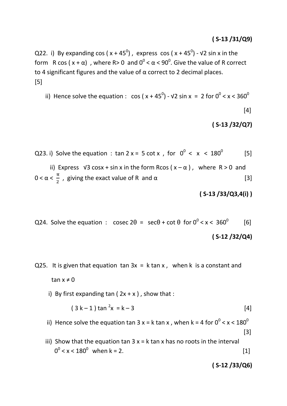# **( S-13 /31/Q9)**

Q22. i) By expanding cos ( $x + 45^0$ ), express cos ( $x + 45^0$ ) -  $\sqrt{2}$  sin x in the form R cos ( $x + \alpha$ ), where R> 0 and  $0^{\circ} < \alpha < 90^{\circ}$ . Give the value of R correct to 4 significant figures and the value of  $\alpha$  correct to 2 decimal places. [5]

ii) Hence solve the equation :  $\cos(x + 45^\circ)$  -  $\sqrt{2} \sin x = 2$  for  $0^\circ < x < 360^\circ$ 

$$
[4]
$$

**( S-13 /32/Q7)**

Q23. i) Solve the equation : tan 2 x = 5 cot x, for  $0^0 < x < 180^0$ [5]

ii) Express  $\sqrt{3} \cos x + \sin x$  in the form Rcos  $(x - \alpha)$ , where R > 0 and  $0 < \alpha < \frac{\pi}{2}$ , giving the exact value of R and  $\alpha$  [3]

**( S-13 /33/Q3,4(i) )**

Q24. Solve the equation : cosec  $2\theta = \sec\theta + \cot\theta$  for  $0^{\circ} < x < 360^{\circ}$  [6] **( S-12 /32/Q4)**

- Q25. It is given that equation  $tan 3x = k tan x$ , when k is a constant and tan  $x \neq 0$ 
	- i) By first expanding tan ( $2x + x$ ), show that :

$$
(3 k-1) tan2x = k-3
$$
 [4]

- ii) Hence solve the equation tan 3 x = k tan x , when k = 4 for  $0^0$  < x <  $180^0$  $[3]$
- iii) Show that the equation tan  $3x = k \tan x$  has no roots in the interval  $0^{\circ}$  < x < 180<sup>°</sup> when k = 2. [1]

**( S-12 /33/Q6)**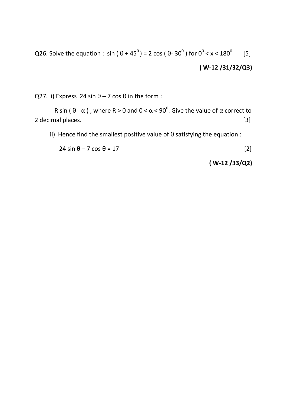Q26. Solve the equation : sin ( $\theta$  + 45<sup>0</sup>) = 2 cos ( $\theta$ - 30<sup>0</sup>) for 0<sup>0</sup> < x < 180<sup>0</sup> [5] **( W-12 /31/32/Q3)**

Q27. i) Express 24 sin  $\theta$  – 7 cos  $\theta$  in the form :

R sin (  $\theta$  - α ), where R > 0 and 0 <  $\alpha$  < 90<sup>0</sup>. Give the value of  $\alpha$  correct to 2 decimal places. [3]

ii) Hence find the smallest positive value of  $\theta$  satisfying the equation :

 $24 \sin \theta - 7 \cos \theta = 17$  [2]

**( W-12 /33/Q2)**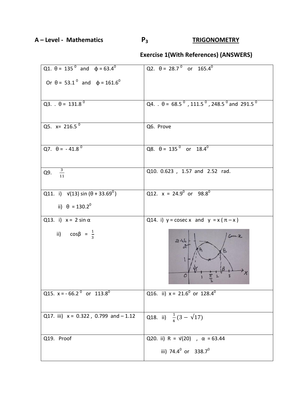**A – Level - Mathematics P3 TRIGONOMETRY**

# **Exercise 1(With References) (ANSWERS)**

| Q1. $\theta = 135^{\circ}$ and $\phi = 63.4^{\circ}$  | Q2. $\theta = 28.7^{\circ}$ or 165.4 <sup>0</sup>                                            |
|-------------------------------------------------------|----------------------------------------------------------------------------------------------|
| Or $\theta = 53.1^{\circ}$ and $\phi = 161.6^{\circ}$ |                                                                                              |
| Q3. $\theta = 131.8^{\circ}$                          | Q4. $\theta = 68.5^{\circ}$ , 111.5 <sup>o</sup> , 248.5 <sup>o</sup> and 291.5 <sup>o</sup> |
| Q5. $x = 216.5^{\circ}$                               | Q6. Prove                                                                                    |
| Q7. $\theta = -41.8^{\circ}$                          | Q8. $\theta = 135^{\circ}$ or $18.4^{\circ}$                                                 |
| $\frac{3}{11}$<br>Q9.                                 | Q10. 0.623, 1.57 and 2.52 rad.                                                               |
| Q11. i) $\sqrt{(13)} \sin (\theta + 33.69^\circ)$     | Q12. $x = 24.9^0$ or $98.8^0$                                                                |
| ii) $\theta = 130.2^{\circ}$                          |                                                                                              |
| Q13. i) $x = 2 \sin \alpha$                           | Q14. i) $y = \csc x$ and $y = x(\pi - x)$                                                    |
| ii) $\cos\beta = \frac{1}{3}$                         | Coce 26<br>$2 - 46$<br>$\alpha$<br>0                                                         |
| Q15. $x = -66.2^{\circ}$ or 113.8 <sup>0</sup>        | Q16. ii) $x = 21.6^{\circ}$ or 128.4 <sup>o</sup>                                            |
| Q17. iii) $x = 0.322$ , 0.799 and $-1.12$             | Q18. ii) $\frac{1}{4}(3 - \sqrt{17})$                                                        |
| Q19. Proof                                            | Q20. ii) R = $\sqrt{20}$ , $\alpha$ = 63.44                                                  |
|                                                       | iii) 74.4 <sup>0</sup> or 338.7 <sup>0</sup>                                                 |